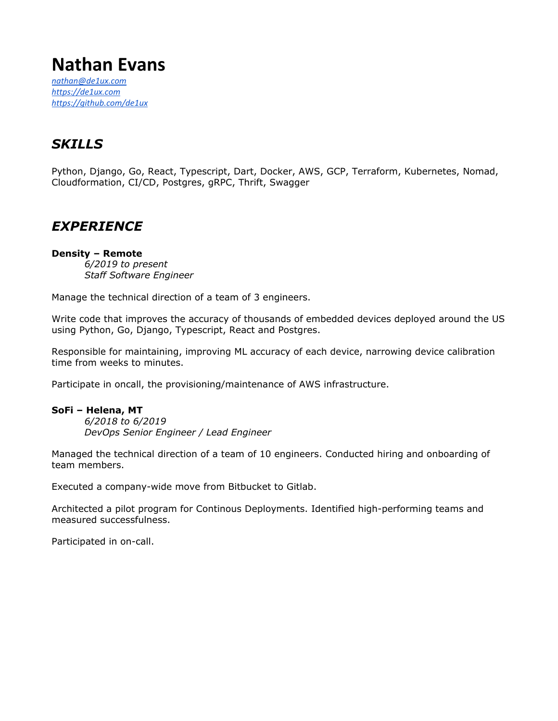# **Nathan Evans**

*[nathan@de1ux.com](mailto:nathan@de1ux.com) [https://de1ux.com](https://de1ux.com/) <https://github.com/de1ux>*

# *SKILLS*

Python, Django, Go, React, Typescript, Dart, Docker, AWS, GCP, Terraform, Kubernetes, Nomad, Cloudformation, CI/CD, Postgres, gRPC, Thrift, Swagger

# *EXPERIENCE*

### **Density – Remote**

*6/2019 to present Staff Software Engineer*

Manage the technical direction of a team of 3 engineers.

Write code that improves the accuracy of thousands of embedded devices deployed around the US using Python, Go, Django, Typescript, React and Postgres.

Responsible for maintaining, improving ML accuracy of each device, narrowing device calibration time from weeks to minutes.

Participate in oncall, the provisioning/maintenance of AWS infrastructure.

#### **SoFi – Helena, MT**

*6/2018 to 6/2019 DevOps Senior Engineer / Lead Engineer*

Managed the technical direction of a team of 10 engineers. Conducted hiring and onboarding of team members.

Executed a company-wide move from Bitbucket to Gitlab.

Architected a pilot program for Continous Deployments. Identified high-performing teams and measured successfulness.

Participated in on-call.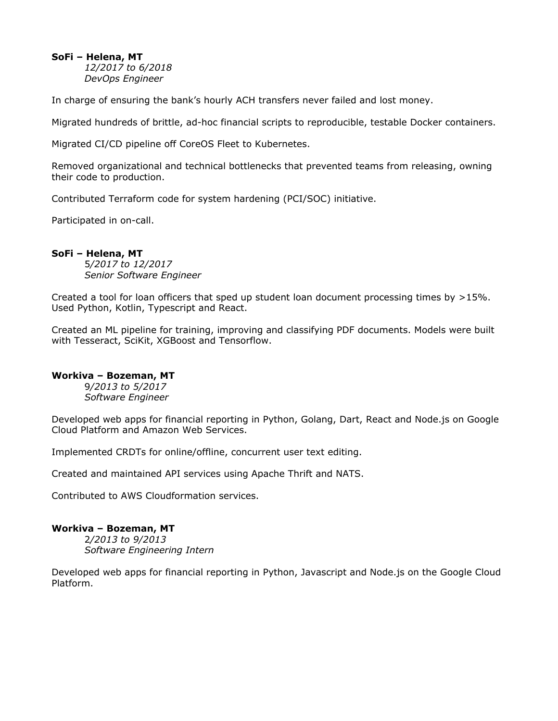### **SoFi – Helena, MT**

*12/2017 to 6/2018 DevOps Engineer*

In charge of ensuring the bank's hourly ACH transfers never failed and lost money.

Migrated hundreds of brittle, ad-hoc financial scripts to reproducible, testable Docker containers.

Migrated CI/CD pipeline off CoreOS Fleet to Kubernetes.

Removed organizational and technical bottlenecks that prevented teams from releasing, owning their code to production.

Contributed Terraform code for system hardening (PCI/SOC) initiative.

Participated in on-call.

### **SoFi – Helena, MT**

5*/2017 to 12/2017 Senior Software Engineer*

Created a tool for loan officers that sped up student loan document processing times by >15%. Used Python, Kotlin, Typescript and React.

Created an ML pipeline for training, improving and classifying PDF documents. Models were built with Tesseract, SciKit, XGBoost and Tensorflow.

### **Workiva – Bozeman, MT**

9*/2013 to 5/2017 Software Engineer*

Developed web apps for financial reporting in Python, Golang, Dart, React and Node.js on Google Cloud Platform and Amazon Web Services.

Implemented CRDTs for online/offline, concurrent user text editing.

Created and maintained API services using Apache Thrift and NATS.

Contributed to AWS Cloudformation services.

#### **Workiva – Bozeman, MT**

2*/2013 to 9/2013 Software Engineering Intern*

Developed web apps for financial reporting in Python, Javascript and Node.js on the Google Cloud Platform.